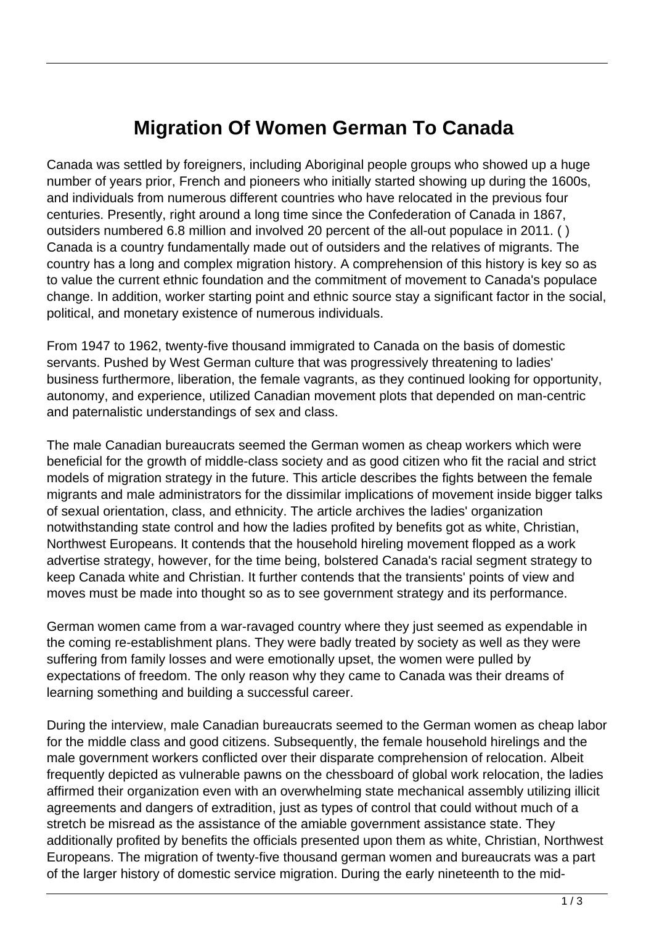## **Migration Of Women German To Canada**

Canada was settled by foreigners, including Aboriginal people groups who showed up a huge number of years prior, French and pioneers who initially started showing up during the 1600s, and individuals from numerous different countries who have relocated in the previous four centuries. Presently, right around a long time since the Confederation of Canada in 1867, outsiders numbered 6.8 million and involved 20 percent of the all-out populace in 2011. ( ) Canada is a country fundamentally made out of outsiders and the relatives of migrants. The country has a long and complex migration history. A comprehension of this history is key so as to value the current ethnic foundation and the commitment of movement to Canada's populace change. In addition, worker starting point and ethnic source stay a significant factor in the social, political, and monetary existence of numerous individuals.

From 1947 to 1962, twenty-five thousand immigrated to Canada on the basis of domestic servants. Pushed by West German culture that was progressively threatening to ladies' business furthermore, liberation, the female vagrants, as they continued looking for opportunity, autonomy, and experience, utilized Canadian movement plots that depended on man-centric and paternalistic understandings of sex and class.

The male Canadian bureaucrats seemed the German women as cheap workers which were beneficial for the growth of middle-class society and as good citizen who fit the racial and strict models of migration strategy in the future. This article describes the fights between the female migrants and male administrators for the dissimilar implications of movement inside bigger talks of sexual orientation, class, and ethnicity. The article archives the ladies' organization notwithstanding state control and how the ladies profited by benefits got as white, Christian, Northwest Europeans. It contends that the household hireling movement flopped as a work advertise strategy, however, for the time being, bolstered Canada's racial segment strategy to keep Canada white and Christian. It further contends that the transients' points of view and moves must be made into thought so as to see government strategy and its performance.

German women came from a war-ravaged country where they just seemed as expendable in the coming re-establishment plans. They were badly treated by society as well as they were suffering from family losses and were emotionally upset, the women were pulled by expectations of freedom. The only reason why they came to Canada was their dreams of learning something and building a successful career.

During the interview, male Canadian bureaucrats seemed to the German women as cheap labor for the middle class and good citizens. Subsequently, the female household hirelings and the male government workers conflicted over their disparate comprehension of relocation. Albeit frequently depicted as vulnerable pawns on the chessboard of global work relocation, the ladies affirmed their organization even with an overwhelming state mechanical assembly utilizing illicit agreements and dangers of extradition, just as types of control that could without much of a stretch be misread as the assistance of the amiable government assistance state. They additionally profited by benefits the officials presented upon them as white, Christian, Northwest Europeans. The migration of twenty-five thousand german women and bureaucrats was a part of the larger history of domestic service migration. During the early nineteenth to the mid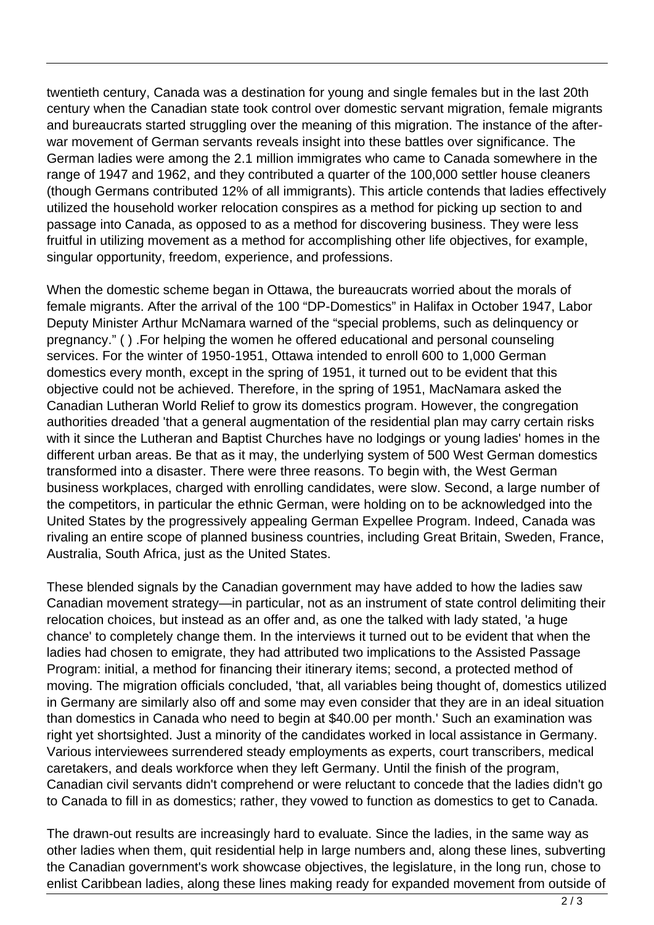twentieth century, Canada was a destination for young and single females but in the last 20th century when the Canadian state took control over domestic servant migration, female migrants and bureaucrats started struggling over the meaning of this migration. The instance of the afterwar movement of German servants reveals insight into these battles over significance. The German ladies were among the 2.1 million immigrates who came to Canada somewhere in the range of 1947 and 1962, and they contributed a quarter of the 100,000 settler house cleaners (though Germans contributed 12% of all immigrants). This article contends that ladies effectively utilized the household worker relocation conspires as a method for picking up section to and passage into Canada, as opposed to as a method for discovering business. They were less fruitful in utilizing movement as a method for accomplishing other life objectives, for example, singular opportunity, freedom, experience, and professions.

When the domestic scheme began in Ottawa, the bureaucrats worried about the morals of female migrants. After the arrival of the 100 "DP-Domestics" in Halifax in October 1947, Labor Deputy Minister Arthur McNamara warned of the "special problems, such as delinquency or pregnancy." ( ) .For helping the women he offered educational and personal counseling services. For the winter of 1950-1951, Ottawa intended to enroll 600 to 1,000 German domestics every month, except in the spring of 1951, it turned out to be evident that this objective could not be achieved. Therefore, in the spring of 1951, MacNamara asked the Canadian Lutheran World Relief to grow its domestics program. However, the congregation authorities dreaded 'that a general augmentation of the residential plan may carry certain risks with it since the Lutheran and Baptist Churches have no lodgings or young ladies' homes in the different urban areas. Be that as it may, the underlying system of 500 West German domestics transformed into a disaster. There were three reasons. To begin with, the West German business workplaces, charged with enrolling candidates, were slow. Second, a large number of the competitors, in particular the ethnic German, were holding on to be acknowledged into the United States by the progressively appealing German Expellee Program. Indeed, Canada was rivaling an entire scope of planned business countries, including Great Britain, Sweden, France, Australia, South Africa, just as the United States.

These blended signals by the Canadian government may have added to how the ladies saw Canadian movement strategy—in particular, not as an instrument of state control delimiting their relocation choices, but instead as an offer and, as one the talked with lady stated, 'a huge chance' to completely change them. In the interviews it turned out to be evident that when the ladies had chosen to emigrate, they had attributed two implications to the Assisted Passage Program: initial, a method for financing their itinerary items; second, a protected method of moving. The migration officials concluded, 'that, all variables being thought of, domestics utilized in Germany are similarly also off and some may even consider that they are in an ideal situation than domestics in Canada who need to begin at \$40.00 per month.' Such an examination was right yet shortsighted. Just a minority of the candidates worked in local assistance in Germany. Various interviewees surrendered steady employments as experts, court transcribers, medical caretakers, and deals workforce when they left Germany. Until the finish of the program, Canadian civil servants didn't comprehend or were reluctant to concede that the ladies didn't go to Canada to fill in as domestics; rather, they vowed to function as domestics to get to Canada.

The drawn-out results are increasingly hard to evaluate. Since the ladies, in the same way as other ladies when them, quit residential help in large numbers and, along these lines, subverting the Canadian government's work showcase objectives, the legislature, in the long run, chose to enlist Caribbean ladies, along these lines making ready for expanded movement from outside of